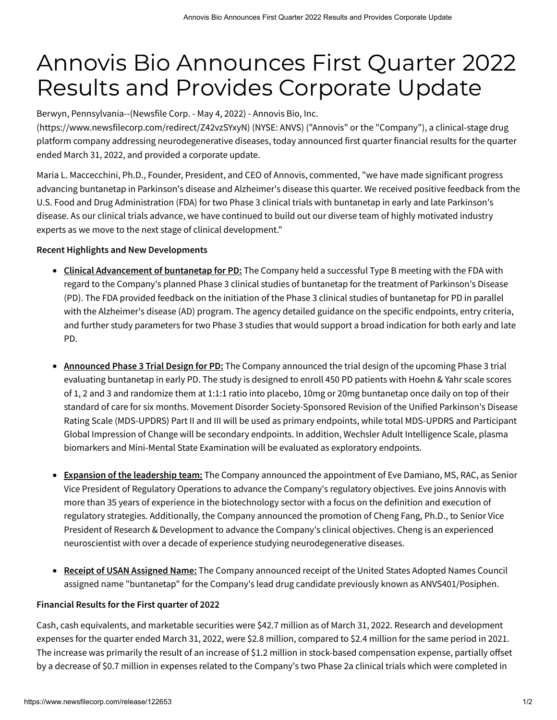# Annovis Bio Announces First Quarter 2022 Results and Provides Corporate Update

[Berwyn, Pennsylvania--\(Newsfile Corp. - May 4, 2022\) - Annovis Bio, Inc.](https://www.newsfilecorp.com/redirect/Z42vzSYxyN)

(https://www.newsfilecorp.com/redirect/Z42vzSYxyN) (NYSE: ANVS) ("Annovis" or the "Company"), a clinical-stage drug platform company addressing neurodegenerative diseases, today announced first quarter financial results for the quarter ended March 31, 2022, and provided a corporate update.

Maria L. Maccecchini, Ph.D., Founder, President, and CEO of Annovis, commented, "we have made significant progress advancing buntanetap in Parkinson's disease and Alzheimer's disease this quarter. We received positive feedback from the U.S. Food and Drug Administration (FDA) for two Phase 3 clinical trials with buntanetap in early and late Parkinson's disease. As our clinical trials advance, we have continued to build out our diverse team of highly motivated industry experts as we move to the next stage of clinical development."

## **Recent Highlights and New Developments**

- **Clinical Advancement of buntanetap for PD:** The Company held a successful Type B meeting with the FDA with regard to the Company's planned Phase 3 clinical studies of buntanetap for the treatment of Parkinson's Disease (PD). The FDA provided feedback on the initiation of the Phase 3 clinical studies of buntanetap for PD in parallel with the Alzheimer's disease (AD) program. The agency detailed guidance on the specific endpoints, entry criteria, and further study parameters for two Phase 3 studies that would support a broad indication for both early and late PD.
- **Announced Phase 3 Trial Design for PD:** The Company announced the trial design of the upcoming Phase 3 trial evaluating buntanetap in early PD. The study is designed to enroll 450 PD patients with Hoehn & Yahr scale scores of 1, 2 and 3 and randomize them at 1:1:1 ratio into placebo, 10mg or 20mg buntanetap once daily on top of their standard of care for six months. Movement Disorder Society-Sponsored Revision of the Unified Parkinson's Disease Rating Scale (MDS-UPDRS) Part II and III will be used as primary endpoints, while total MDS-UPDRS and Participant Global Impression of Change will be secondary endpoints. In addition, Wechsler Adult Intelligence Scale, plasma biomarkers and Mini-Mental State Examination will be evaluated as exploratory endpoints.
- **Expansion of the leadership team:** The Company announced the appointment of Eve Damiano, MS, RAC, as Senior Vice President of Regulatory Operations to advance the Company's regulatory objectives. Eve joins Annovis with more than 35 years of experience in the biotechnology sector with a focus on the definition and execution of regulatory strategies. Additionally, the Company announced the promotion of Cheng Fang, Ph.D., to Senior Vice President of Research & Development to advance the Company's clinical objectives. Cheng is an experienced neuroscientist with over a decade of experience studying neurodegenerative diseases.
- **Receipt of USAN Assigned Name:** The Company announced receipt of the United States Adopted Names Council assigned name "buntanetap" for the Company's lead drug candidate previously known as ANVS401/Posiphen.

#### **Financial Results for the First quarter of 2022**

Cash, cash equivalents, and marketable securities were \$42.7 million as of March 31, 2022. Research and development expenses for the quarter ended March 31, 2022, were \$2.8 million, compared to \$2.4 million for the same period in 2021. The increase was primarily the result of an increase of \$1.2 million in stock-based compensation expense, partially offset by a decrease of \$0.7 million in expenses related to the Company's two Phase 2a clinical trials which were completed in